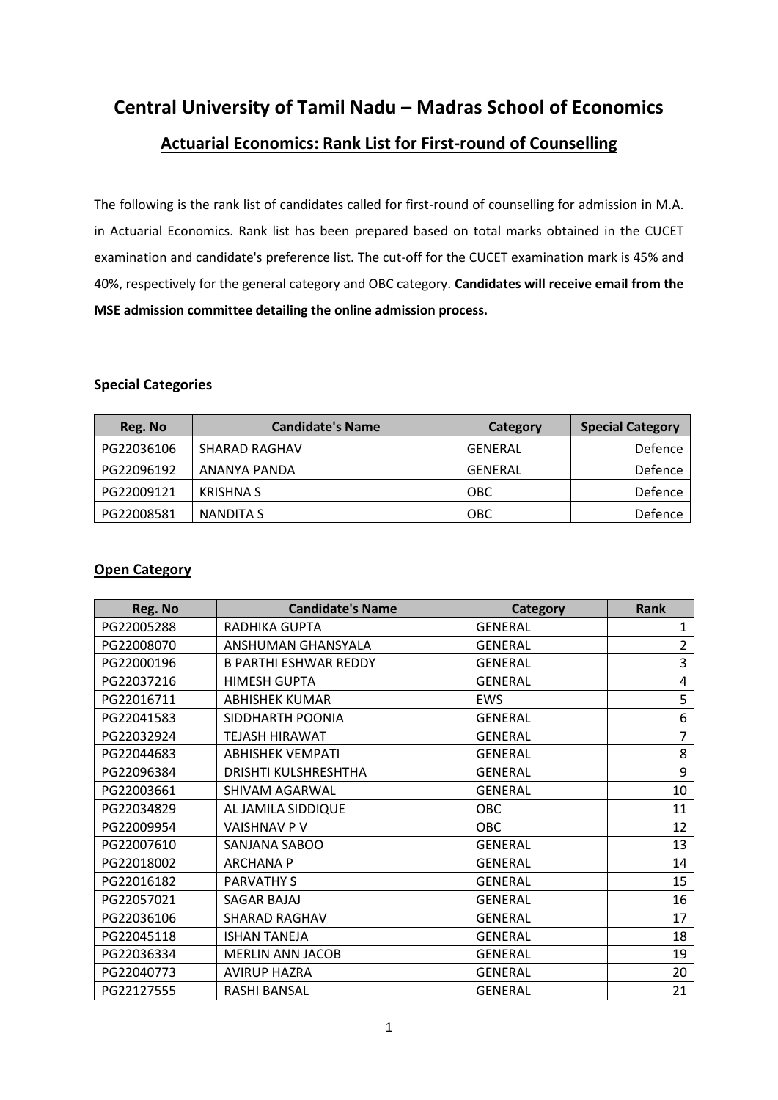**Central University of Tamil Nadu – Madras School of Economics Actuarial Economics: Rank List for First-round of Counselling**

The following is the rank list of candidates called for first-round of counselling for admission in M.A. in Actuarial Economics. Rank list has been prepared based on total marks obtained in the CUCET examination and candidate's preference list. The cut-off for the CUCET examination mark is 45% and 40%, respectively for the general category and OBC category. **Candidates will receive email from the MSE admission committee detailing the online admission process.**

#### **Special Categories**

| Reg. No    | <b>Candidate's Name</b> | Category   | <b>Special Category</b> |
|------------|-------------------------|------------|-------------------------|
| PG22036106 | <b>SHARAD RAGHAV</b>    | GENERAL    | Defence                 |
| PG22096192 | ANANYA PANDA            | GENERAL    | Defence                 |
| PG22009121 | <b>KRISHNA S</b>        | <b>OBC</b> | Defence                 |
| PG22008581 | NANDITA S               | <b>OBC</b> | Defence                 |

#### **Open Category**

| Reg. No    | <b>Candidate's Name</b>      | <b>Category</b> | <b>Rank</b> |
|------------|------------------------------|-----------------|-------------|
| PG22005288 | RADHIKA GUPTA                | <b>GENERAL</b>  | 1           |
| PG22008070 | ANSHUMAN GHANSYALA           | <b>GENERAL</b>  | 2           |
| PG22000196 | <b>B PARTHI ESHWAR REDDY</b> | <b>GENERAL</b>  | 3           |
| PG22037216 | <b>HIMESH GUPTA</b>          | <b>GENERAL</b>  | 4           |
| PG22016711 | <b>ABHISHEK KUMAR</b>        | <b>EWS</b>      | 5           |
| PG22041583 | SIDDHARTH POONIA             | <b>GENERAL</b>  | 6           |
| PG22032924 | <b>TEJASH HIRAWAT</b>        | <b>GENERAL</b>  | 7           |
| PG22044683 | <b>ABHISHEK VEMPATI</b>      | <b>GENERAL</b>  | 8           |
| PG22096384 | <b>DRISHTI KULSHRESHTHA</b>  | <b>GENERAL</b>  | 9           |
| PG22003661 | SHIVAM AGARWAL               | <b>GENERAL</b>  | 10          |
| PG22034829 | AL JAMILA SIDDIQUE           | OBC             | 11          |
| PG22009954 | <b>VAISHNAV P V</b>          | <b>OBC</b>      | 12          |
| PG22007610 | SANJANA SABOO                | <b>GENERAL</b>  | 13          |
| PG22018002 | <b>ARCHANA P</b>             | <b>GENERAL</b>  | 14          |
| PG22016182 | <b>PARVATHY S</b>            | <b>GENERAL</b>  | 15          |
| PG22057021 | <b>SAGAR BAJAJ</b>           | <b>GENERAL</b>  | 16          |
| PG22036106 | <b>SHARAD RAGHAV</b>         | <b>GENERAL</b>  | 17          |
| PG22045118 | <b>ISHAN TANEJA</b>          | <b>GENERAL</b>  | 18          |
| PG22036334 | <b>MERLIN ANN JACOB</b>      | <b>GENERAL</b>  | 19          |
| PG22040773 | <b>AVIRUP HAZRA</b>          | <b>GENERAL</b>  | 20          |
| PG22127555 | RASHI BANSAL                 | <b>GENERAL</b>  | 21          |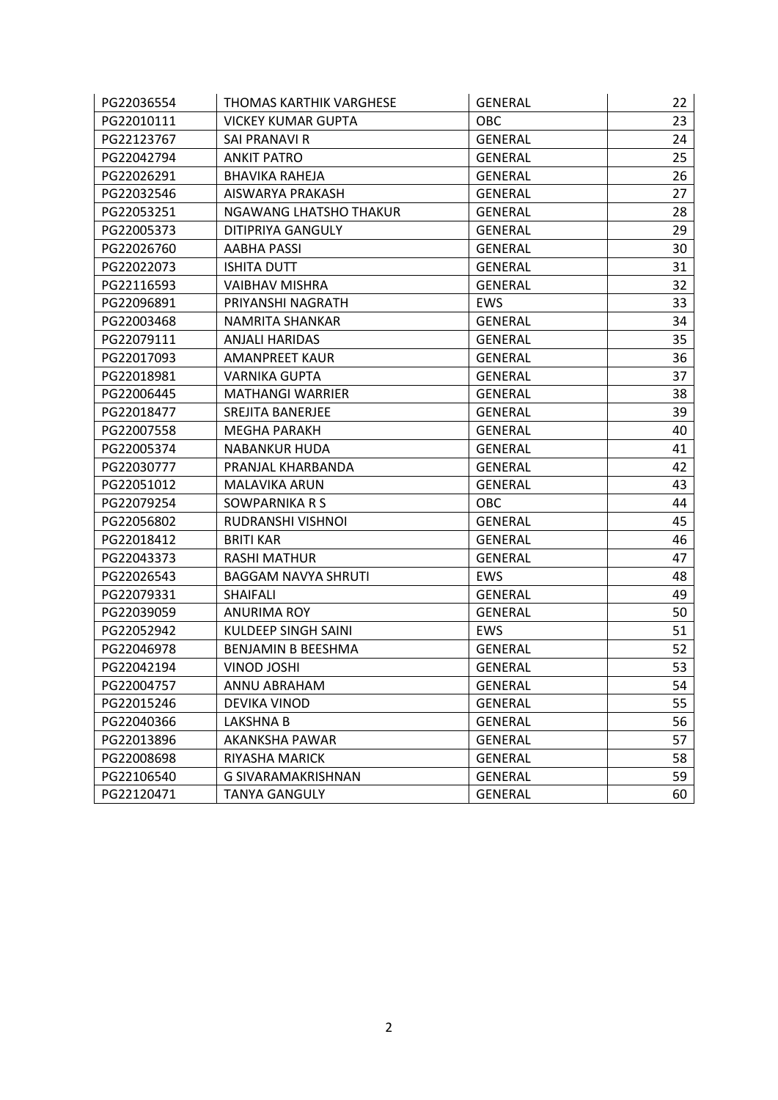| PG22036554 | THOMAS KARTHIK VARGHESE    | <b>GENERAL</b> | 22 |
|------------|----------------------------|----------------|----|
| PG22010111 | <b>VICKEY KUMAR GUPTA</b>  | OBC            | 23 |
| PG22123767 | SAI PRANAVI R              | <b>GENERAL</b> | 24 |
| PG22042794 | <b>ANKIT PATRO</b>         | <b>GENERAL</b> | 25 |
| PG22026291 | <b>BHAVIKA RAHEJA</b>      | <b>GENERAL</b> | 26 |
| PG22032546 | AISWARYA PRAKASH           | <b>GENERAL</b> | 27 |
| PG22053251 | NGAWANG LHATSHO THAKUR     | <b>GENERAL</b> | 28 |
| PG22005373 | DITIPRIYA GANGULY          | <b>GENERAL</b> | 29 |
| PG22026760 | AABHA PASSI                | GENERAL        | 30 |
| PG22022073 | <b>ISHITA DUTT</b>         | <b>GENERAL</b> | 31 |
| PG22116593 | <b>VAIBHAV MISHRA</b>      | <b>GENERAL</b> | 32 |
| PG22096891 | PRIYANSHI NAGRATH          | <b>EWS</b>     | 33 |
| PG22003468 | NAMRITA SHANKAR            | <b>GENERAL</b> | 34 |
| PG22079111 | ANJALI HARIDAS             | <b>GENERAL</b> | 35 |
| PG22017093 | <b>AMANPREET KAUR</b>      | <b>GENERAL</b> | 36 |
| PG22018981 | <b>VARNIKA GUPTA</b>       | <b>GENERAL</b> | 37 |
| PG22006445 | <b>MATHANGI WARRIER</b>    | <b>GENERAL</b> | 38 |
| PG22018477 | SREJITA BANERJEE           | <b>GENERAL</b> | 39 |
| PG22007558 | MEGHA PARAKH               | <b>GENERAL</b> | 40 |
| PG22005374 | <b>NABANKUR HUDA</b>       | <b>GENERAL</b> | 41 |
| PG22030777 | PRANJAL KHARBANDA          | <b>GENERAL</b> | 42 |
| PG22051012 | <b>MALAVIKA ARUN</b>       | <b>GENERAL</b> | 43 |
| PG22079254 | SOWPARNIKA R S             | <b>OBC</b>     | 44 |
| PG22056802 | RUDRANSHI VISHNOI          | <b>GENERAL</b> | 45 |
| PG22018412 | <b>BRITI KAR</b>           | <b>GENERAL</b> | 46 |
| PG22043373 | <b>RASHI MATHUR</b>        | <b>GENERAL</b> | 47 |
| PG22026543 | <b>BAGGAM NAVYA SHRUTI</b> | <b>EWS</b>     | 48 |
| PG22079331 | <b>SHAIFALI</b>            | <b>GENERAL</b> | 49 |
| PG22039059 | ANURIMA ROY                | <b>GENERAL</b> | 50 |
| PG22052942 | KULDEEP SINGH SAINI        | <b>EWS</b>     | 51 |
| PG22046978 | BENJAMIN B BEESHMA         | <b>GENERAL</b> | 52 |
| PG22042194 | VINOD JOSHI                | <b>GENERAL</b> | 53 |
| PG22004757 | ANNU ABRAHAM               | <b>GENERAL</b> | 54 |
| PG22015246 | DEVIKA VINOD               | <b>GENERAL</b> | 55 |
| PG22040366 | LAKSHNA B                  | <b>GENERAL</b> | 56 |
| PG22013896 | AKANKSHA PAWAR             | <b>GENERAL</b> | 57 |
| PG22008698 | RIYASHA MARICK             | <b>GENERAL</b> | 58 |
| PG22106540 | G SIVARAMAKRISHNAN         | <b>GENERAL</b> | 59 |
| PG22120471 | <b>TANYA GANGULY</b>       | <b>GENERAL</b> | 60 |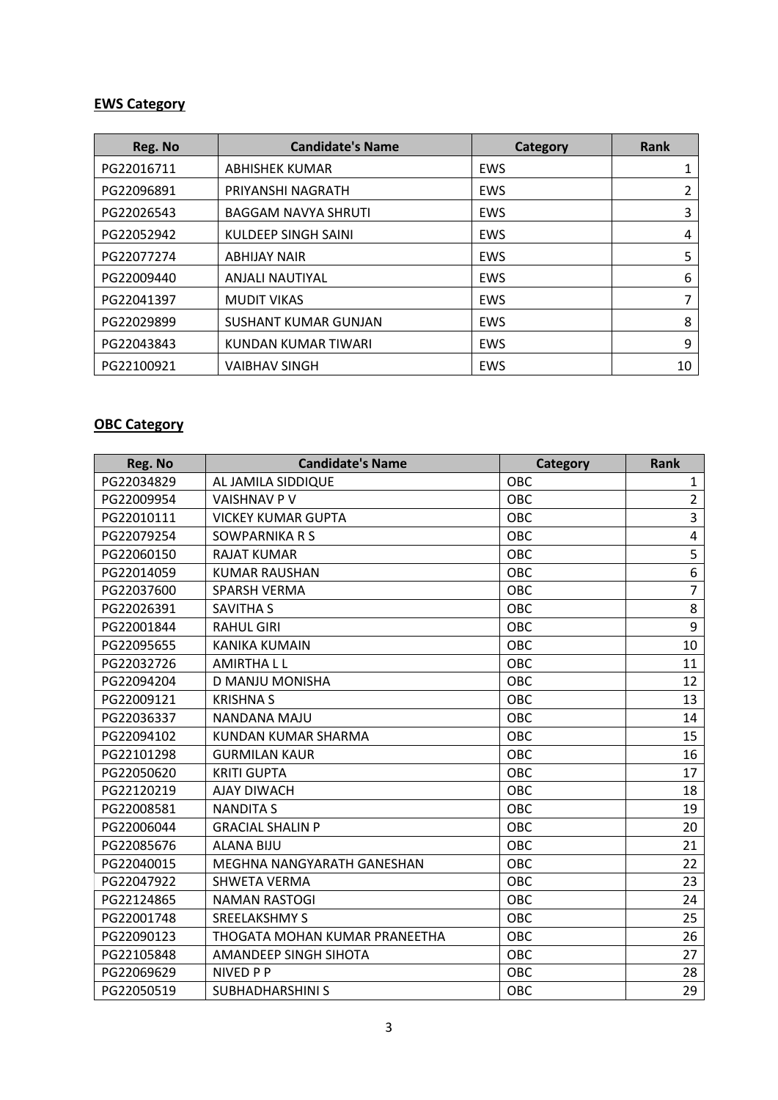## **EWS Category**

| Reg. No    | <b>Candidate's Name</b>     | Category   | Rank |
|------------|-----------------------------|------------|------|
| PG22016711 | ABHISHEK KUMAR              | EWS        |      |
| PG22096891 | PRIYANSHI NAGRATH           | EWS        | 2    |
| PG22026543 | <b>BAGGAM NAVYA SHRUTI</b>  | EWS        | 3    |
| PG22052942 | KULDEEP SINGH SAINI         | <b>EWS</b> | 4    |
| PG22077274 | <b>ABHIJAY NAIR</b>         | EWS        | 5    |
| PG22009440 | <b>ANJALI NAUTIYAL</b>      | EWS        | 6    |
| PG22041397 | <b>MUDIT VIKAS</b>          | EWS        | 7    |
| PG22029899 | <b>SUSHANT KUMAR GUNJAN</b> | EWS        | 8    |
| PG22043843 | KUNDAN KUMAR TIWARI         | EWS        | 9    |
| PG22100921 | <b>VAIBHAV SINGH</b>        | EWS        | 10   |

## **OBC Category**

| Reg. No    | <b>Candidate's Name</b>       | <b>Category</b> | Rank           |
|------------|-------------------------------|-----------------|----------------|
| PG22034829 | AL JAMILA SIDDIQUE            | <b>OBC</b>      | $\mathbf{1}$   |
| PG22009954 | <b>VAISHNAV P V</b>           | OBC             | $\overline{2}$ |
| PG22010111 | <b>VICKEY KUMAR GUPTA</b>     | OBC             | 3              |
| PG22079254 | SOWPARNIKA R S                | OBC             | $\overline{4}$ |
| PG22060150 | <b>RAJAT KUMAR</b>            | OBC             | 5              |
| PG22014059 | <b>KUMAR RAUSHAN</b>          | OBC             | 6              |
| PG22037600 | <b>SPARSH VERMA</b>           | OBC             | $\overline{7}$ |
| PG22026391 | <b>SAVITHA S</b>              | <b>OBC</b>      | 8              |
| PG22001844 | <b>RAHUL GIRI</b>             | OBC             | 9              |
| PG22095655 | KANIKA KUMAIN                 | OBC             | 10             |
| PG22032726 | <b>AMIRTHALL</b>              | OBC             | 11             |
| PG22094204 | D MANJU MONISHA               | OBC             | 12             |
| PG22009121 | <b>KRISHNAS</b>               | OBC             | 13             |
| PG22036337 | NANDANA MAJU                  | <b>OBC</b>      | 14             |
| PG22094102 | KUNDAN KUMAR SHARMA           | OBC             | 15             |
| PG22101298 | <b>GURMILAN KAUR</b>          | OBC             | 16             |
| PG22050620 | <b>KRITI GUPTA</b>            | OBC             | 17             |
| PG22120219 | <b>AJAY DIWACH</b>            | OBC             | 18             |
| PG22008581 | <b>NANDITA S</b>              | OBC             | 19             |
| PG22006044 | <b>GRACIAL SHALIN P</b>       | OBC             | 20             |
| PG22085676 | <b>ALANA BIJU</b>             | OBC             | 21             |
| PG22040015 | MEGHNA NANGYARATH GANESHAN    | OBC             | 22             |
| PG22047922 | <b>SHWETA VERMA</b>           | OBC             | 23             |
| PG22124865 | <b>NAMAN RASTOGI</b>          | OBC             | 24             |
| PG22001748 | <b>SREELAKSHMY S</b>          | OBC             | 25             |
| PG22090123 | THOGATA MOHAN KUMAR PRANEETHA | OBC             | 26             |
| PG22105848 | AMANDEEP SINGH SIHOTA         | OBC             | 27             |
| PG22069629 | NIVED P P                     | OBC             | 28             |
| PG22050519 | <b>SUBHADHARSHINI S</b>       | OBC             | 29             |